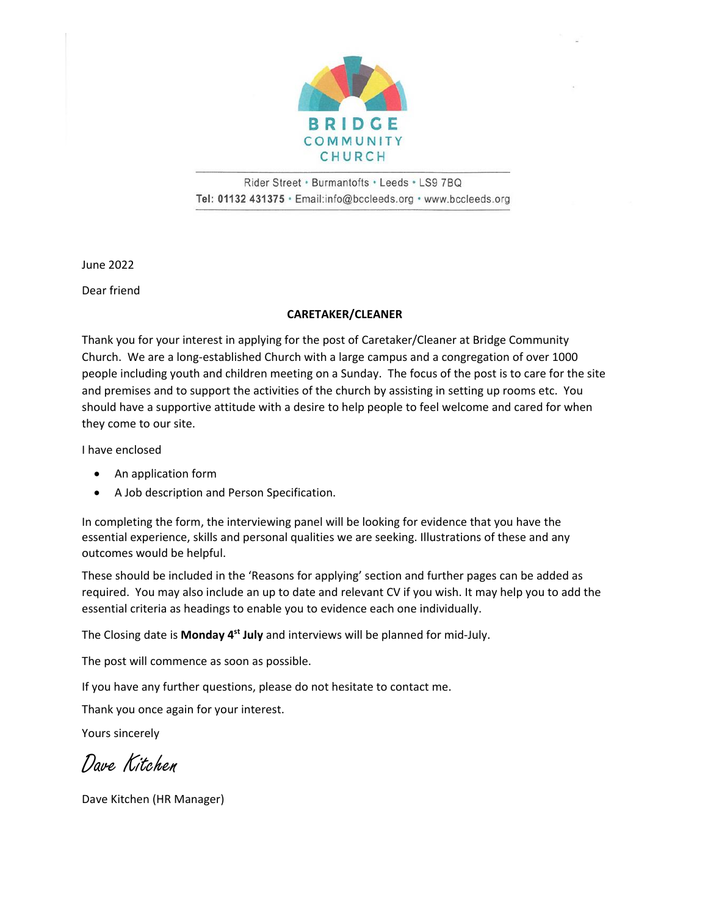

Rider Street · Burmantofts · Leeds · LS9 7BQ Tel: 01132 431375 · Email:info@bccleeds.org · www.bccleeds.org

June 2022

Dear friend

#### **CARETAKER/CLEANER**

Thank you for your interest in applying for the post of Caretaker/Cleaner at Bridge Community Church. We are a long-established Church with a large campus and a congregation of over 1000 people including youth and children meeting on a Sunday. The focus of the post is to care for the site and premises and to support the activities of the church by assisting in setting up rooms etc. You should have a supportive attitude with a desire to help people to feel welcome and cared for when they come to our site.

I have enclosed

- An application form
- A Job description and Person Specification.

In completing the form, the interviewing panel will be looking for evidence that you have the essential experience, skills and personal qualities we are seeking. Illustrations of these and any outcomes would be helpful.

These should be included in the 'Reasons for applying' section and further pages can be added as required. You may also include an up to date and relevant CV if you wish. It may help you to add the essential criteria as headings to enable you to evidence each one individually.

The Closing date is **Monday 4 st July** and interviews will be planned for mid-July.

The post will commence as soon as possible.

If you have any further questions, please do not hesitate to contact me.

Thank you once again for your interest.

Yours sincerely

Dave Kitchen

Dave Kitchen (HR Manager)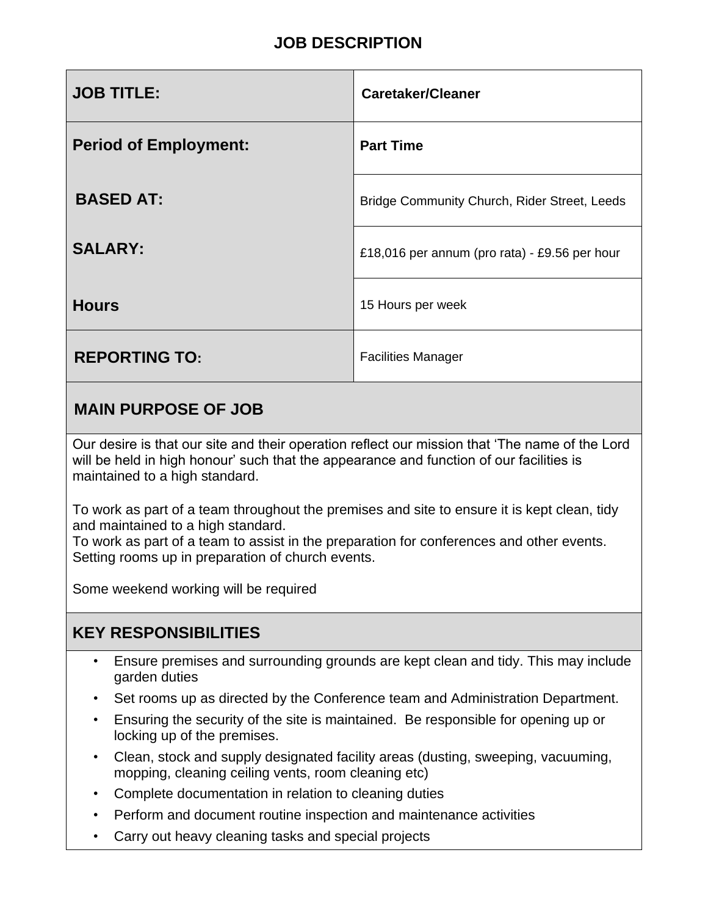## **JOB DESCRIPTION**

| <b>JOB TITLE:</b>            | <b>Caretaker/Cleaner</b>                      |
|------------------------------|-----------------------------------------------|
| <b>Period of Employment:</b> | <b>Part Time</b>                              |
| <b>BASED AT:</b>             | Bridge Community Church, Rider Street, Leeds  |
| <b>SALARY:</b>               | £18,016 per annum (pro rata) - £9.56 per hour |
| <b>Hours</b>                 | 15 Hours per week                             |
| <b>REPORTING TO:</b>         | <b>Facilities Manager</b>                     |

## **MAIN PURPOSE OF JOB**

Our desire is that our site and their operation reflect our mission that 'The name of the Lord will be held in high honour' such that the appearance and function of our facilities is maintained to a high standard.

To work as part of a team throughout the premises and site to ensure it is kept clean, tidy and maintained to a high standard.

To work as part of a team to assist in the preparation for conferences and other events. Setting rooms up in preparation of church events.

Some weekend working will be required

## **KEY RESPONSIBILITIES**

- Ensure premises and surrounding grounds are kept clean and tidy. This may include garden duties
- Set rooms up as directed by the Conference team and Administration Department.
- Ensuring the security of the site is maintained. Be responsible for opening up or locking up of the premises.
- Clean, stock and supply designated facility areas (dusting, sweeping, vacuuming, mopping, cleaning ceiling vents, room cleaning etc)
- Complete documentation in relation to cleaning duties
- Perform and document routine inspection and maintenance activities
- Carry out heavy cleaning tasks and special projects